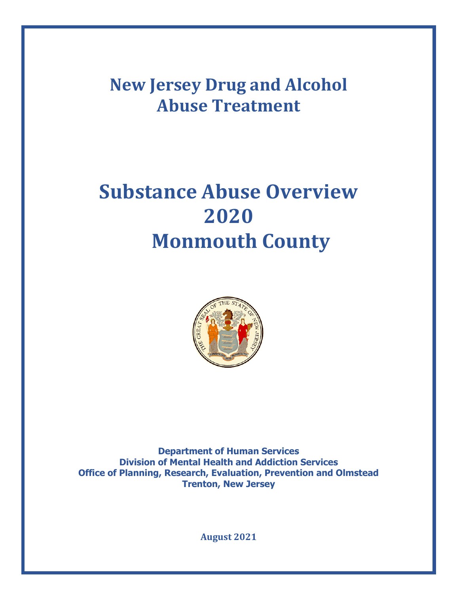**New Jersey Drug and Alcohol Abuse Treatment**

# **Substance Abuse Overview 2020 Monmouth County**



**Department of Human Services Division of Mental Health and Addiction Services Office of Planning, Research, Evaluation, Prevention and Olmstead Trenton, New Jersey**

**August 2021**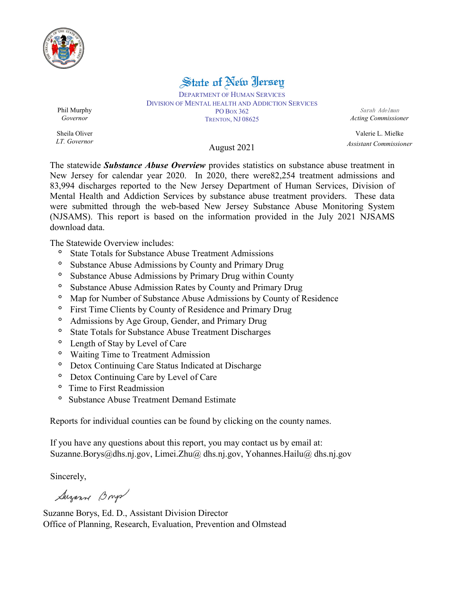

# State of New Jersey

DEPARTMENT OF HUMAN SERVICES DIVISION OF MENTAL HEALTH AND ADDICTION SERVICES PO BOX 362 TRENTON, NJ 08625

Sarah Adelman *Acting Commissioner*

Valerie L. Mielke *Assistant Commissioner*

Phil Murphy *Governor*

Sheila Oliver *LT. Governor*

## August 2021

The statewide *Substance Abuse Overview* provides statistics on substance abuse treatment in New Jersey for calendar year 2020. In 2020, there were82,254 treatment admissions and 83,994 discharges reported to the New Jersey Department of Human Services, Division of Mental Health and Addiction Services by substance abuse treatment providers. These data were submitted through the web-based New Jersey Substance Abuse Monitoring System (NJSAMS). This report is based on the information provided in the July 2021 NJSAMS download data.

The Statewide Overview includes:

- **°** State Totals for Substance Abuse Treatment Admissions
- **°** Substance Abuse Admissions by County and Primary Drug
- **°** Substance Abuse Admissions by Primary Drug within County
- **°** Substance Abuse Admission Rates by County and Primary Drug
- **°** Map for Number of Substance Abuse Admissions by County of Residence
- **°** First Time Clients by County of Residence and Primary Drug
- **°** Admissions by Age Group, Gender, and Primary Drug
- **°** State Totals for Substance Abuse Treatment Discharges
- **°** Length of Stay by Level of Care
- **°** Waiting Time to Treatment Admission
- **°** Detox Continuing Care Status Indicated at Discharge
- **°** Detox Continuing Care by Level of Care
- **°** Time to First Readmission
- **°** Substance Abuse Treatment Demand Estimate

Reports for individual counties can be found by clicking on the county names.

If you have any questions about this report, you may contact us by email at: [Suzanne.Borys@dhs.nj.gov,](mailto:Suzanne.Borys@dhs.nj.gov) Limei.Zhu@ dhs.nj.gov, Yohannes.Hailu@ dhs.nj.gov

Sincerely,

Suzanne Brys

Suzanne Borys, Ed. D., Assistant Division Director Office of Planning, Research, Evaluation, Prevention and Olmstead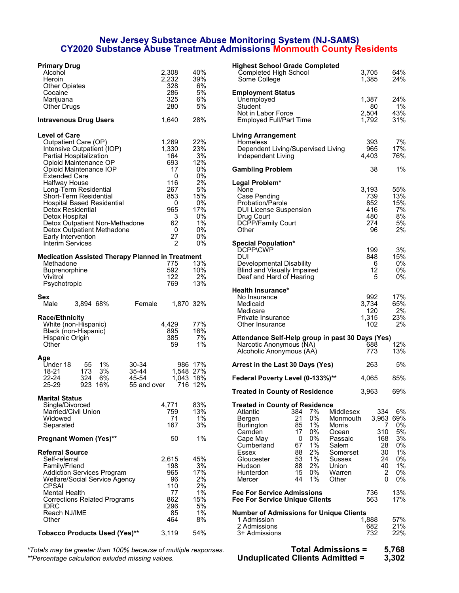### **New Jersey Substance Abuse Monitoring System (NJ-SAMS) CY2020 Substance Abuse Treatment Admissions Monmouth County Residents**

| <b>Primary Drug</b>                                            |                        |           | <b>Highest School Grade Completed</b>                   |                 |
|----------------------------------------------------------------|------------------------|-----------|---------------------------------------------------------|-----------------|
| Alcohol                                                        | 2,308                  | 40%       | Completed High School                                   | 3,705           |
| Heroin                                                         | 2,232<br>328           | 39%<br>6% | Some College                                            | 1,385           |
| <b>Other Opiates</b><br>Cocaine                                | 286                    | 5%        |                                                         |                 |
| Marijuana                                                      | 325                    | 6%        | <b>Employment Status</b><br>Unemployed                  | 1,387           |
| Other Drugs                                                    | 280                    | 5%        | Student                                                 | 80              |
|                                                                |                        |           | Not in Labor Force                                      | 2,504           |
| <b>Intravenous Drug Users</b>                                  | 1,640                  | 28%       | <b>Employed Full/Part Time</b>                          | 1,792           |
| <b>Level of Care</b>                                           |                        |           | <b>Living Arrangement</b>                               |                 |
| Outpatient Care (OP)                                           | 1,269                  | 22%       | <b>Homeless</b>                                         | 393             |
| Intensive Outpatient (IOP)                                     | 1,330                  | 23%       | Dependent Living/Supervised Living                      | 965             |
| Partial Hospitalization                                        | 164                    | 3%        | Independent Living                                      | 4,403           |
| Opioid Maintenance OP                                          | 693                    | 12%       |                                                         |                 |
| Opioid Maintenance IOP                                         | 17                     | $0\%$     | <b>Gambling Problem</b>                                 | 38              |
| <b>Extended Care</b>                                           | $\mathbf 0$<br>116     | 0%<br>2%  |                                                         |                 |
| Halfway House                                                  | 267                    | 5%        | Legal Problem*<br>None                                  |                 |
| Long-Term Residential<br><b>Short-Term Residential</b>         | 853                    | 15%       | Case Pending                                            | 3,193<br>739    |
| <b>Hospital Based Residential</b>                              | 0                      | 0%        | Probation/Parole                                        | 852             |
| <b>Detox Residential</b>                                       | 965                    | 17%       | <b>DUI License Suspension</b>                           | 416             |
| Detox Hospital                                                 | 3                      | $0\%$     | Drug Court                                              | 480             |
| Detox Outpatient Non-Methadone                                 | 62                     | 1%        | DCPP/Family Court                                       | 274             |
| Detox Outpatient Methadone                                     | 0                      | $0\%$     | Other                                                   | 96              |
| Early Intervention                                             | 27                     | $0\%$     |                                                         |                 |
| Interim Services                                               | $\overline{2}$         | $0\%$     | <b>Special Population*</b>                              |                 |
|                                                                |                        |           | DCPP\CWP                                                | 199             |
| <b>Medication Assisted Therapy Planned in Treatment</b>        |                        |           | <b>DUI</b>                                              | 848             |
| Methadone                                                      | 775                    | 13%       | Developmental Disability                                | 6               |
| Buprenorphine                                                  | 592                    | 10%       | <b>Blind and Visually Impaired</b>                      | 12              |
| Vivitrol                                                       | 122                    | 2%<br>13% | Deaf and Hard of Hearing                                | 5               |
| Psychotropic                                                   | 769                    |           | <b>Health Insurance*</b>                                |                 |
| Sex                                                            |                        |           | No Insurance                                            | 992             |
| 3,894 68%<br>Female<br>Male                                    | 1,870 32%              |           | Medicaid                                                | 3,734           |
|                                                                |                        |           | Medicare                                                | 120             |
| <b>Race/Ethnicity</b>                                          |                        |           | Private Insurance                                       | 1,315           |
| White (non-Hispanic)                                           | 4,429                  | 77%       | Other Insurance                                         | 102             |
| Black (non-Hispanic)                                           | 895                    | 16%       |                                                         |                 |
| Hispanic Origin                                                | 385                    | 7%        | Attendance Self-Help group in past 30 Days (Yes)        |                 |
| Other                                                          | 59                     | 1%        | Narcotic Anonymous (NA)                                 | 688             |
|                                                                |                        |           | Alcoholic Anonymous (AA)                                | 773             |
| Age<br>1%<br>Under 18<br>55<br>30-34                           |                        | 986 17%   | Arrest in the Last 30 Days (Yes)                        | 263             |
| 3%<br>$35 - 44$<br>18-21<br>173<br>324<br>6%<br>22-24<br>45-54 | 1,548 27%<br>1,043 18% |           | Federal Poverty Level (0-133%)**                        | 4,065           |
| 923 16%<br>25-29<br>55 and over                                |                        | 716 12%   |                                                         |                 |
| Marital Status                                                 |                        |           | <b>Treated in County of Residence</b>                   | 3,963           |
| Single/Divorced                                                | 4,771                  | 83%       | <b>Treated in County of Residence</b>                   |                 |
| Married/Civil Union                                            | 759                    | 13%       | Atlantic<br>384<br>7%<br>Middlesex                      | 334             |
| Widowed                                                        | 71                     | $1\%$     | 0%<br>Bergen<br>21<br>Monmouth                          | 3,963           |
| Separated                                                      | 167                    | 3%        | 1%<br><b>Burlington</b><br>85<br>Morris<br>0%<br>Camden | $\prime$<br>310 |
| Pregnant Women (Yes)**                                         | 50                     | 1%        | 17<br>Ocean<br>0%<br>Cape May<br>0<br>Passaic           | 168             |
|                                                                |                        |           | 1%<br>67<br>Salem<br>Cumberland                         | 28              |
| <b>Referral Source</b>                                         |                        |           | 2%<br>Essex<br>88<br>Somerset                           | 30              |
| Self-referral                                                  | 2,615                  | 45%       | 53<br>1%<br>Gloucester<br>Sussex                        | 24              |
| Family/Friend                                                  | 198                    | 3%        | 2%<br>Union<br>Hudson<br>88                             | 40              |
| <b>Addiction Services Program</b>                              | 965                    | 17%       | 15<br>0%<br>Hunterdon<br>Warren                         | 2               |
| Welfare/Social Service Agency                                  | 96                     | 2%        | 1%<br>Mercer<br>44<br>Other                             | 0               |
| <b>CPSAI</b>                                                   | 110                    | 2%        |                                                         |                 |
| <b>Mental Health</b>                                           | 77                     | 1%        | <b>Fee For Service Admissions</b>                       | 736             |
| <b>Corrections Related Programs</b>                            | 862                    | 15%       | <b>Fee For Service Unique Clients</b>                   | 563             |
| <b>IDRC</b>                                                    | 296                    | 5%        |                                                         |                 |
| Reach NJ/IME                                                   | 85                     | 1%        | <b>Number of Admissions for Unique Clients</b>          |                 |
| Other                                                          | 464                    | 8%        | 1 Admission<br>2 Admissions                             | 1,888           |
| <b>Tobacco Products Used (Yes)**</b>                           | 3,119                  | 54%       | 3+ Admissions                                           | 682<br>732      |
|                                                                |                        |           |                                                         |                 |

*\*Totals may be greater than 100% because of multiple responses.* **Total Admissions = 5,768**  $*$ Percentage calculation exluded missing values.

| <b>Primary Drug</b>                                            |              |                      | <b>Highest School Grade Completed</b>                           |              |                      |
|----------------------------------------------------------------|--------------|----------------------|-----------------------------------------------------------------|--------------|----------------------|
| Alcohol                                                        | 2,308        | 40%                  | Completed High School                                           | 3,705        | 64%                  |
| Heroin<br><b>Other Opiates</b>                                 | 2,232<br>328 | 39%<br>6%            | Some College                                                    | 1,385        | 24%                  |
| Cocaine                                                        | 286          | 5%                   | <b>Employment Status</b>                                        |              |                      |
| Marijuana                                                      | 325          | 6%                   | Unemployed                                                      | 1,387        | 24%                  |
| Other Drugs                                                    | 280          | 5%                   | Student                                                         | 80           | $1\%$                |
|                                                                |              |                      | Not in Labor Force                                              | 2,504        | 43%                  |
| Intravenous Drug Users                                         | 1,640        | 28%                  | <b>Employed Full/Part Time</b>                                  | 1,792        | 31%                  |
| <b>Level of Care</b>                                           |              |                      | <b>Living Arrangement</b>                                       |              |                      |
| Outpatient Care (OP)                                           | 1,269        | 22%                  | Homeless                                                        | 393          | 7%                   |
| Intensive Outpatient (IOP)                                     | 1,330        | 23%                  | Dependent Living/Supervised Living                              | 965          | 17%                  |
| Partial Hospitalization                                        | 164          | 3%                   | Independent Living                                              | 4,403        | 76%                  |
| Opioid Maintenance OP                                          | 693          | 12%                  |                                                                 |              |                      |
| Opioid Maintenance IOP<br><b>Extended Care</b>                 | 17<br>0      | 0%<br>0%             | <b>Gambling Problem</b>                                         | 38           | 1%                   |
| <b>Halfway House</b>                                           | 116          | 2%                   | Legal Problem*                                                  |              |                      |
| Long-Term Residential                                          | 267          | 5%                   | None                                                            | 3,193        | 55%                  |
| <b>Short-Term Residential</b>                                  | 853          | 15%                  | Case Pending                                                    | 739          | 13%                  |
| <b>Hospital Based Residential</b>                              | 0            | 0%                   | Probation/Parole                                                | 852          | 15%                  |
| Detox Residential                                              | 965          | 17%                  | <b>DUI License Suspension</b>                                   | 416          | 7%                   |
| Detox Hospital                                                 | 3            | 0%                   | Drug Court                                                      | 480          | 8%                   |
| Detox Outpatient Non-Methadone                                 | 62           | $1\%$                | DCPP/Family Court                                               | 274          | 5%                   |
| Detox Outpatient Methadone                                     | 0            | 0%                   | Other                                                           | 96           | 2%                   |
| Early Intervention<br>Interim Services                         | 27           | 0%<br>0%             |                                                                 |              |                      |
|                                                                | 2            |                      | <b>Special Population*</b><br>DCPP\CWP                          | 199          | 3%                   |
| Medication Assisted Therapy Planned in Treatment               |              |                      | DUI                                                             | 848          | 15%                  |
| Methadone                                                      | 775          | 13%                  | Developmental Disability                                        | 6            | 0%                   |
| <b>Buprenorphine</b>                                           | 592          | 10%                  | <b>Blind and Visually Impaired</b>                              | 12           | 0%                   |
| Vivitrol                                                       | 122          | 2%                   | Deaf and Hard of Hearing                                        | 5            | 0%                   |
| Psychotropic                                                   | 769          | 13%                  |                                                                 |              |                      |
|                                                                |              |                      | <b>Health Insurance*</b>                                        |              |                      |
| Sex                                                            |              |                      | No Insurance                                                    | 992          | 17%                  |
| 3,894 68%<br>Female<br>Male                                    |              | 1,870 32%            | Medicaid                                                        | 3,734        | 65%                  |
|                                                                |              |                      | Medicare                                                        | 120          | 2%                   |
| <b>Race/Ethnicity</b><br>White (non-Hispanic)                  | 4,429        | 77%                  | Private Insurance<br>Other Insurance                            | 1,315<br>102 | 23%<br>2%            |
| Black (non-Hispanic)                                           | 895          | 16%                  |                                                                 |              |                      |
| Hispanic Origin                                                | 385          | 7%                   | Attendance Self-Help group in past 30 Days (Yes)                |              |                      |
| Other                                                          | 59           | $1\%$                | Narcotic Anonymous (NA)                                         | 688          | 12%                  |
|                                                                |              |                      | Alcoholic Anonymous (AA)                                        | 773          | 13%                  |
| Age<br>Under 18<br>55<br>1%<br>30-34                           |              | 986 17%              | Arrest in the Last 30 Days (Yes)                                | 263          | 5%                   |
| 3%<br>18-21<br>173<br>35-44                                    |              | 1,548 27%            |                                                                 |              |                      |
| 22-24<br>324<br>6%<br>45-54<br>25-29<br>923 16%<br>55 and over |              | 1,043 18%<br>716 12% | Federal Poverty Level (0-133%)**                                | 4,065        | 85%                  |
| <b>Marital Status</b>                                          |              |                      | <b>Treated in County of Residence</b>                           | 3,963        | 69%                  |
| Single/Divorced                                                | 4,771        | 83%                  | <b>Treated in County of Residence</b>                           |              |                      |
| Married/Civil Union                                            | 759          | 13%                  | 384<br>7%<br>Middlesex<br>Atlantic                              | 334          | 6%                   |
| Widowed                                                        | 71           | $1\%$                | 0%<br>21<br>Monmouth<br>Bergen                                  |              | 3,963 69%            |
| Separated                                                      | 167          | 3%                   | $1\%$<br>85<br><b>Burlington</b><br>Morris                      |              | 0%<br>7              |
|                                                                |              |                      | 0%<br>Camden<br>17<br>Ocean                                     | 310          | 5%                   |
| <b>Pregnant Women (Yes)**</b>                                  | 50           | 1%                   | 0%<br>0<br>Cape May<br>Passaic                                  | 168          | 3%                   |
|                                                                |              |                      | 1%<br>67<br>Cumberland<br>Salem                                 |              | 0%<br>28             |
| <b>Referral Source</b>                                         |              |                      | 88<br>2%<br>Essex<br>Somerset                                   |              | 1%<br>30             |
| Self-referral<br>Family/Friend                                 | 2,615<br>198 | 45%<br>3%            | 53<br>1%<br>Gloucester<br>Sussex<br>2%<br>Hudson<br>88<br>Union |              | 0%<br>24<br>40<br>1% |
| <b>Addiction Services Program</b>                              | 965          | 17%                  | 15<br>0%<br>Warren<br>Hunterdon                                 |              | $\overline{c}$<br>0% |
| Welfare/Social Service Agency                                  | 96           | 2%                   | 1%<br>44<br>Mercer<br>Other                                     |              | 0%<br>0              |
| <b>CPSAI</b>                                                   | 110          | 2%                   |                                                                 |              |                      |
| <b>Mental Health</b>                                           | 77           | $1\%$                | <b>Fee For Service Admissions</b>                               | 736          | 13%                  |
| <b>Corrections Related Programs</b>                            | 862          | 15%                  | <b>Fee For Service Unique Clients</b>                           | 563          | 17%                  |
| <b>IDRC</b>                                                    | 296          | 5%                   |                                                                 |              |                      |
| Reach NJ/IME                                                   | 85           | $1\%$                | <b>Number of Admissions for Unique Clients</b>                  |              |                      |
| Other                                                          | 464          | 8%                   | 1 Admission                                                     | 1,888        | 57%                  |
| Tobacco Products Used (Yes)**                                  | 3,119        | 54%                  | 2 Admissions<br>3+ Admissions                                   | 682<br>732   | 21%<br>22%           |
|                                                                |              |                      |                                                                 |              |                      |
| tals may be greater than 100% because of multiple responses.   |              |                      | <b>Total Admissions =</b>                                       |              | 5,768                |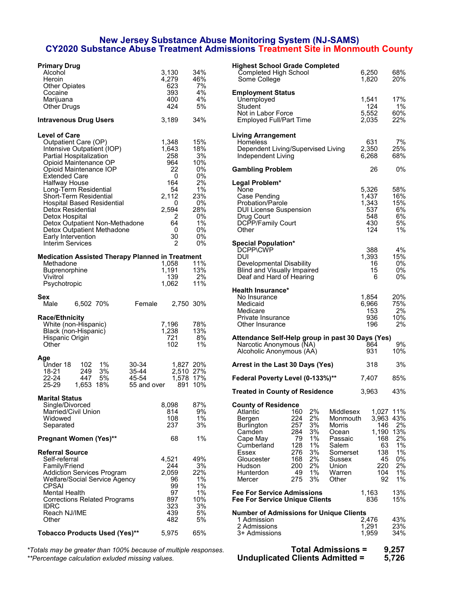### **New Jersey Substance Abuse Monitoring System (NJ-SAMS) CY2020 Substance Abuse Treatment Admissions Treatment Site in Monmouth County**

| <b>Primary Drug</b>                                            |              |           | <b>Highest School Grade Completed</b>                                       |                  |          |
|----------------------------------------------------------------|--------------|-----------|-----------------------------------------------------------------------------|------------------|----------|
| Alcohol                                                        | 3,130        | 34%       | Completed High School                                                       | 6,250            | 68%      |
| Heroin                                                         | 4,279        | 46%       | Some College                                                                | 1,820            | 20%      |
| <b>Other Opiates</b>                                           | 623          | 7%<br>4%  |                                                                             |                  |          |
| Cocaine<br>Marijuana                                           | 393<br>400   | 4%        | <b>Employment Status</b>                                                    | 1,541            | 17%      |
| <b>Other Drugs</b>                                             | 424          | 5%        | Unemployed<br>Student                                                       | 124              | 1%       |
|                                                                |              |           | Not in Labor Force                                                          | 5,552            | 60%      |
| <b>Intravenous Drug Users</b>                                  | 3,189        | 34%       | <b>Employed Full/Part Time</b>                                              | 2,035            | 22%      |
| <b>Level of Care</b>                                           |              |           | <b>Living Arrangement</b>                                                   |                  |          |
| Outpatient Care (OP)                                           | 1,348        | 15%       | Homeless                                                                    | 631              | 7%       |
| Intensive Outpatient (IOP)                                     | 1,643        | 18%       | Dependent Living/Supervised Living                                          | 2,350            | 25%      |
| Partial Hospitalization                                        | 258          | 3%        | Independent Living                                                          | 6,268            | 68%      |
| Opioid Maintenance OP                                          | 964          | 10%       |                                                                             |                  |          |
| Opioid Maintenance IOP                                         | 22           | 0%        | <b>Gambling Problem</b>                                                     | 26               | 0%       |
| <b>Extended Care</b>                                           | 0            | 0%        |                                                                             |                  |          |
| Halfway House                                                  | 164<br>54    | 2%<br>1%  | Legal Problem*                                                              | 5,326            | 58%      |
| Long-Term Residential<br>Short-Term Residential                | 2,112        | 23%       | None<br>Case Pending                                                        | 1,437            | 16%      |
| <b>Hospital Based Residential</b>                              | 0            | 0%        | Probation/Parole                                                            | 1,343            | 15%      |
| Detox Residential                                              | 2,594        | 28%       | <b>DUI License Suspension</b>                                               | 537              | 6%       |
| Detox Hospital                                                 | 2            | 0%        | Drug Court                                                                  | 548              | 6%       |
| Detox Outpatient Non-Methadone                                 | 64           | 1%        | DCPP/Family Court                                                           | 430              | 5%       |
| Detox Outpatient Methadone                                     | 0            | 0%        | Other                                                                       | 124              | 1%       |
| Early Intervention                                             | 30           | 0%        |                                                                             |                  |          |
| Interim Services                                               | 2            | 0%        | <b>Special Population*</b>                                                  |                  |          |
|                                                                |              |           | DCPP\CWP                                                                    | 388              | 4%       |
| <b>Medication Assisted Therapy Planned in Treatment</b>        |              |           | <b>DUI</b>                                                                  | 1,393            | 15%      |
| Methadone                                                      | 1,058        | 11%       | Developmental Disability                                                    | 16               | 0%       |
| <b>Buprenorphine</b>                                           | 1,191<br>139 | 13%<br>2% | <b>Blind and Visually Impaired</b>                                          | 15<br>6          | 0%<br>0% |
| Vivitrol<br>Psychotropic                                       | 1,062        | 11%       | Deaf and Hard of Hearing                                                    |                  |          |
|                                                                |              |           | <b>Health Insurance*</b>                                                    |                  |          |
| Sex                                                            |              |           | No Insurance                                                                | 1,854            | 20%      |
| 6,502 70%<br>Female<br>Male                                    | 2,750 30%    |           | Medicaid                                                                    | 6,966            | 75%      |
|                                                                |              |           | Medicare                                                                    | 153              | 2%       |
| <b>Race/Ethnicity</b>                                          |              |           | Private Insurance                                                           | 936              | 10%      |
| White (non-Hispanic)                                           | 7,196        | 78%       | Other Insurance                                                             | 196              | 2%       |
| Black (non-Hispanic)                                           | 1,238        | 13%       |                                                                             |                  |          |
| Hispanic Origin                                                | 721          | 8%        | Attendance Self-Help group in past 30 Days (Yes)                            |                  |          |
| Other                                                          | 102          | $1\%$     | Narcotic Anonymous (NA)                                                     | 864              | 9%       |
|                                                                |              |           | Alcoholic Anonymous (AA)                                                    | 931              | 10%      |
| Age<br>1%<br>Under 18<br>102<br>30-34                          |              | 1,827 20% | Arrest in the Last 30 Days (Yes)                                            | 318              | 3%       |
| 3%<br>18-21<br>249<br>35-44<br>$22 - 24$<br>447<br>5%<br>45-54 | 2,510 27%    | 1,578 17% | Federal Poverty Level (0-133%)**                                            | 7,407            | 85%      |
| 25-29<br>55 and over<br>1,653 18%                              |              | 891 10%   | <b>Treated in County of Residence</b>                                       | 3,963            | 43%      |
| Marital Status                                                 |              |           |                                                                             |                  |          |
| Single/Divorced                                                | 8,098        | 87%       | <b>County of Residence</b>                                                  |                  |          |
| Married/Civil Union                                            | 814          | 9%        | 2%<br>Atlantic<br>160<br>Middlesex                                          | 1,027 11%        |          |
| Widowed<br>Separated                                           | 108<br>237   | 1%<br>3%  | 2%<br>224<br>Monmouth<br>Bergen<br>257<br>3%<br><b>Burlington</b><br>Morris | 3,963 43%<br>146 | 2%       |
|                                                                |              |           | 284<br>3%<br>Camden<br>Ocean                                                | 1,190 13%        |          |
| <b>Pregnant Women (Yes)**</b>                                  | 68           | 1%        | 1%<br>Cape May<br>79<br>Passaic                                             | 168              | 2%       |
|                                                                |              |           | 1%<br>128<br>Cumberland<br>Salem                                            | 63               | 1%       |
| <b>Referral Source</b>                                         |              |           | 276<br>3%<br>Essex<br>Somerset                                              | 138              | 1%       |
| Self-referral                                                  | 4,521        | 49%       | 168<br>2%<br>Gloucester<br>Sussex                                           | 45               | 0%       |
| Family/Friend                                                  | 244          | 3%        | 200<br>2%<br>Union<br>Hudson                                                | 220              | 2%       |
| <b>Addiction Services Program</b>                              | 2,059        | 22%       | 1%<br>49<br>Hunterdon<br>Warren                                             | 104              | 1%       |
| Welfare/Social Service Agency                                  | 96           | 1%        | 275<br>3%<br>Mercer<br>Other                                                | 92               | 1%       |
| <b>CPSAI</b>                                                   | 99           | 1%        |                                                                             |                  |          |
| <b>Mental Health</b>                                           | 97           | 1%        | <b>Fee For Service Admissions</b>                                           | 1,163            | 13%      |
| <b>Corrections Related Programs</b><br><b>IDRC</b>             | 897<br>323   | 10%<br>3% | <b>Fee For Service Unique Clients</b>                                       | 836              | 15%      |
| Reach NJ/IME                                                   | 439          | 5%        | <b>Number of Admissions for Unique Clients</b>                              |                  |          |
| Other                                                          | 482          | 5%        | 1 Admission                                                                 | 2,476            | 43%      |
|                                                                |              |           | 2 Admissions                                                                | 1,291            | 23%      |
| Tobacco Products Used (Yes)**                                  | 5,975        | 65%       | 3+ Admissions                                                               | 1,959            | 34%      |
|                                                                |              |           |                                                                             |                  |          |

*\*Totals may be greater than 100% because of multiple responses.* **Total Admissions = 9,257** *\*\*Percentage calculation exluded missing values.* **Unduplicated Clients Admitted = 5,726**

| rimary Drug                                                |                     |            | <b>Highest School Grade Completed</b>                          |                |            |
|------------------------------------------------------------|---------------------|------------|----------------------------------------------------------------|----------------|------------|
| Alcohol<br>Heroin                                          | 3,130<br>4,279      | 34%<br>46% | Completed High School                                          | 6,250<br>1,820 | 68%<br>20% |
| Other Opiates                                              | 623                 | 7%         | Some College                                                   |                |            |
| Cocaine                                                    | 393                 | 4%         | <b>Employment Status</b>                                       |                |            |
| Marijuana                                                  | 400                 | 4%         | Unemployed                                                     | 1,541          | 17%        |
| Other Drugs                                                | 424                 | 5%         | Student                                                        | 124            | $1\%$      |
|                                                            |                     | 34%        | Not in Labor Force                                             | 5,552          | 60%<br>22% |
| travenous Drug Users                                       | 3,189               |            | Employed Full/Part Time                                        | 2,035          |            |
| evel of Care                                               |                     |            | <b>Living Arrangement</b>                                      |                |            |
| Outpatient Care (OP)                                       | 1,348               | 15%        | Homeless                                                       | 631            | 7%         |
| Intensive Outpatient (IOP)                                 | 1,643               | 18%        | Dependent Living/Supervised Living                             | 2,350          | 25%        |
| Partial Hospitalization                                    | 258                 | 3%         | Independent Living                                             | 6,268          | 68%        |
| Opioid Maintenance OP                                      | 964                 | 10%        |                                                                |                |            |
| Opioid Maintenance IOP                                     | 22                  | 0%         | <b>Gambling Problem</b>                                        | 26             | 0%         |
| Extended Care                                              | 0                   | 0%         |                                                                |                |            |
| Halfway House<br>Long-Term Residential                     | 164<br>54           | 2%<br>1%   | Legal Problem*<br>None                                         | 5,326          | 58%        |
| Short-Term Residential                                     | 2,112               | 23%        | Case Pending                                                   | 1,437          | 16%        |
| Hospital Based Residential                                 | 0                   | 0%         | Probation/Parole                                               | 1,343          | 15%        |
| Detox Residential                                          | 2,594               | 28%        | <b>DUI License Suspension</b>                                  | 537            | 6%         |
| Detox Hospital                                             | 2                   | 0%         | Drug Court                                                     | 548            | 6%         |
| Detox Outpatient Non-Methadone                             | 64                  | $1\%$      | <b>DCPP/Family Court</b>                                       | 430            | 5%         |
| Detox Outpatient Methadone                                 | 0                   | 0%         | Other                                                          | 124            | $1\%$      |
| Early Intervention                                         | 30                  | 0%         |                                                                |                |            |
| Interim Services                                           | 2                   | 0%         | <b>Special Population*</b>                                     |                |            |
|                                                            |                     |            | DCPP\CWP                                                       | 388            | 4%         |
| edication Assisted Therapy Planned in Treatment            |                     |            | DUI                                                            | 1,393          | 15%        |
| Methadone<br>Buprenorphine                                 | 1,058<br>1,191      | 11%<br>13% | Developmental Disability<br><b>Blind and Visually Impaired</b> | 16<br>15       | 0%<br>0%   |
| Vivitrol                                                   | 139                 | 2%         | Deaf and Hard of Hearing                                       | 6              | $0\%$      |
| Psychotropic                                               | 1,062               | 11%        |                                                                |                |            |
|                                                            |                     |            | <b>Health Insurance*</b>                                       |                |            |
| эх                                                         |                     |            | No Insurance                                                   | 1,854          | 20%        |
| Male<br>6,502 70%                                          | Female<br>2,750 30% |            | Medicaid                                                       | 6,966          | 75%        |
|                                                            |                     |            | Medicare                                                       | 153            | 2%         |
| ace/Ethnicity                                              |                     |            | Private Insurance                                              | 936            | 10%        |
| White (non-Hispanic)                                       | 7,196               | 78%        | Other Insurance                                                | 196            | 2%         |
| Black (non-Hispanic)                                       | 1,238               | 13%        |                                                                |                |            |
| Hispanic Origin                                            | 721                 | 8%         | Attendance Self-Help group in past 30 Days (Yes)               |                |            |
| Other                                                      | 102                 | $1\%$      | Narcotic Anonymous (NA)                                        | 864<br>931     | 9%<br>10%  |
| qe                                                         |                     |            | Alcoholic Anonymous (AA)                                       |                |            |
| Under 18<br>1%<br>30-34<br>102                             | 1,827 20%           |            | Arrest in the Last 30 Days (Yes)                               | 318            | 3%         |
| 3%<br>18-21<br>249<br>35-44                                | 2,510 27%           |            |                                                                |                |            |
| 45-54<br>22-24<br>447<br>5%                                | 1,578 17%           |            | Federal Poverty Level (0-133%)**                               | 7,407          | 85%        |
| 25-29<br>1,653 18%                                         | 55 and over         | 891 10%    | <b>Treated in County of Residence</b>                          | 3,963          | 43%        |
| arital Status                                              |                     |            |                                                                |                |            |
| Single/Divorced                                            | 8,098               | 87%        | <b>County of Residence</b>                                     |                |            |
| Married/Civil Union                                        | 814                 | 9%         | 2%<br>Atlantic<br>160<br>Middlesex                             |                | 1.027 11%  |
| Widowed                                                    | 108                 | 1%         | 2%<br>224<br>Bergen<br>Monmouth                                |                | 3,963 43%  |
| Separated                                                  | 237                 | 3%         | 3%<br>257<br><b>Burlington</b><br>Morris                       | 146            | 2%         |
|                                                            |                     |            | 284<br>3%<br>Camden<br>Ocean                                   | 1,190          | 13%        |
| regnant Women (Yes)**                                      | 68                  | 1%         | 1%<br>79<br>Cape May<br>Passaic<br>128<br>Salem                | 168<br>63      | 2%         |
| eferral Source                                             |                     |            | 1%<br>Cumberland<br>3%<br>276<br>Essex<br>Somerset             | 138            | 1%<br>1%   |
| Self-referral                                              | 4,521               | 49%        | 168<br>2%<br>Gloucester<br>Sussex                              | 45             | 0%         |
| Family/Friend                                              | 244                 | 3%         | 2%<br>200<br>Union<br>Hudson                                   | 220            | 2%         |
| Addiction Services Program                                 | 2,059               | 22%        | 49<br>1%<br>Warren<br>Hunterdon                                | 104            | 1%         |
| Welfare/Social Service Agency                              | 96                  | $1\%$      | 275<br>3%<br>Mercer<br>Other                                   | 92             | 1%         |
| CPSAI                                                      | 99                  | 1%         |                                                                |                |            |
| Mental Health                                              | 97                  | $1\%$      | <b>Fee For Service Admissions</b>                              | 1,163          | 13%        |
| Corrections Related Programs                               | 897                 | 10%        | <b>Fee For Service Unique Clients</b>                          | 836            | 15%        |
| IDRC                                                       | 323                 | 3%         |                                                                |                |            |
| Reach NJ/IME                                               | 439                 | 5%         | <b>Number of Admissions for Unique Clients</b>                 |                |            |
| Other                                                      | 482                 | 5%         | 1 Admission                                                    | 2,476          | 43%        |
| bbacco Products Used (Yes)**                               | 5,975               | 65%        | 2 Admissions<br>3+ Admissions                                  | 1,291<br>1,959 | 23%<br>34% |
|                                                            |                     |            |                                                                |                |            |
| Is may be greater than 100% because of multiple responses. |                     |            | <b>Total Admissions =</b>                                      |                | 9,257      |
|                                                            |                     |            |                                                                |                |            |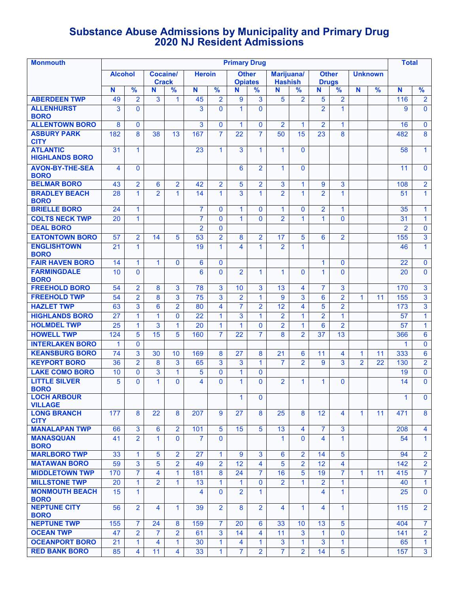## **Substance Abuse Admissions by Municipality and Primary Drug 2020 NJ Resident Admissions**

| <b>Monmouth</b>                                     | <b>Primary Drug</b> |                              |                                 |                         |                |                              |                                |                              |                              |                |                              | Total           |                      |                |                |                             |
|-----------------------------------------------------|---------------------|------------------------------|---------------------------------|-------------------------|----------------|------------------------------|--------------------------------|------------------------------|------------------------------|----------------|------------------------------|-----------------|----------------------|----------------|----------------|-----------------------------|
|                                                     | <b>Alcohol</b>      |                              | <b>Cocaine/</b><br><b>Crack</b> |                         | <b>Heroin</b>  |                              | <b>Other</b><br><b>Opiates</b> |                              | Marijuana/<br><b>Hashish</b> |                | <b>Other</b><br><b>Drugs</b> |                 |                      | <b>Unknown</b> |                |                             |
|                                                     | N                   | $\frac{9}{6}$                | N                               | %                       | N              | $\frac{9}{6}$                | N                              | %                            | N                            | %              | N                            | %               | N                    | $\frac{9}{6}$  | N              | $\frac{9}{6}$               |
| <b>ABERDEEN TWP</b>                                 | 49                  | $\overline{2}$               | 3                               | 1                       | 45             | $\overline{2}$               | 9                              | 3                            | 5                            | $\overline{2}$ | 5                            | $\overline{2}$  |                      |                | 116            | $\overline{2}$              |
| <b>ALLENHURST</b><br><b>BORO</b>                    | 3                   | $\mathbf{0}$                 |                                 |                         | 3              | $\Omega$                     | 1.                             | $\Omega$                     |                              |                | $\overline{2}$               | $\mathbf{1}$    |                      |                | 9              | $\mathbf{0}$                |
| <b>ALLENTOWN BORO</b>                               | 8                   | $\mathbf{0}$                 |                                 |                         | 3              | $\mathbf{0}$                 | $\blacktriangleleft$           | $\mathbf{0}$                 | $\overline{2}$               | $\mathbf{1}$   | $\overline{2}$               | $\mathbf{1}$    |                      |                | 16             | $\mathbf{0}$                |
| <b>ASBURY PARK</b><br><b>CITY</b>                   | 182                 | 8                            | 38                              | 13                      | 167            | $\overline{7}$               | 22                             | $\overline{7}$               | 50                           | 15             | 23                           | 8               |                      |                | 482            | 8                           |
| <b>ATLANTIC</b><br><b>HIGHLANDS BORO</b>            | 31                  | $\mathbf{1}$                 |                                 |                         | 23             | $\mathbf{1}$                 | 3                              | 1                            | $\mathbf{1}$                 | $\mathbf{0}$   |                              |                 |                      |                | 58             | $\mathbf{1}$                |
| <b>AVON-BY-THE-SEA</b><br><b>BORO</b>               | 4                   | $\mathbf{0}$                 |                                 |                         |                |                              | 6                              | $\overline{2}$               | 1                            | $\mathbf{0}$   |                              |                 |                      |                | 11             | $\mathbf{0}$                |
| <b>BELMAR BORO</b>                                  | 43                  | $\overline{2}$               | 6                               | $\overline{\mathbf{2}}$ | 42             | $\overline{2}$               | 5                              | 2                            | 3                            | 1              | 9                            | $\mathbf{3}$    |                      |                | 108            | $\overline{2}$              |
| <b>BRADLEY BEACH</b><br><b>BORO</b>                 | 28                  | $\mathbf{1}$                 | 2                               | 1                       | 14             | $\mathbf{1}$                 | 3                              | $\mathbf{1}$                 | $\overline{2}$               | $\mathbf{1}$   | $\overline{2}$               | $\mathbf{1}$    |                      |                | 51             | $\mathbf{1}$                |
| <b>BRIELLE BORO</b>                                 | 24                  | $\mathbf{1}$                 |                                 |                         | $\overline{7}$ | $\mathbf{0}$                 | $\mathbf{1}$                   | $\Omega$                     | 1                            | $\mathbf{0}$   | $\overline{2}$               | $\mathbf{1}$    |                      |                | 35             | $\mathbf{1}$                |
| <b>COLTS NECK TWP</b>                               | 20                  | $\mathbf{1}$                 |                                 |                         | $\overline{7}$ | $\mathbf{0}$                 | $\overline{1}$                 | $\Omega$                     | $\overline{2}$               | 1              | $\mathbf{1}$                 | $\Omega$        |                      |                | 31             | $\mathbf{1}$                |
| <b>DEAL BORO</b>                                    |                     |                              |                                 |                         | $\overline{2}$ | $\mathbf{0}$                 |                                |                              |                              |                |                              |                 |                      |                | $\overline{2}$ | $\mathbf 0$                 |
| <b>EATONTOWN BORO</b>                               | 57                  | $\overline{2}$               | 14                              | 5                       | 53             | $\overline{2}$               | 8                              | $\overline{2}$               | 17                           | 5              | 6                            | $\overline{2}$  |                      |                | 155            | 3                           |
| <b>ENGLISHTOWN</b><br><b>BORO</b>                   | 21                  | $\mathbf{1}$                 |                                 |                         | 19             | $\mathbf{1}$                 | 4                              | $\mathbf{1}$                 | $\overline{2}$               | 1              |                              |                 |                      |                | 46             | $\mathbf{1}$                |
| <b>FAIR HAVEN BORO</b>                              | 14                  | $\mathbf{1}$                 | $\mathbf{1}$                    | $\mathbf{0}$            | 6              | $\mathbf 0$                  |                                |                              |                              |                | $\mathbf{1}$                 | $\mathbf{0}$    |                      |                | 22             | $\mathbf 0$                 |
| <b>FARMINGDALE</b><br><b>BORO</b>                   | 10                  | $\mathbf{0}$                 |                                 |                         | 6              | $\Omega$                     | $\overline{2}$                 | $\mathbf{1}$                 | $\mathbf{1}$                 | $\mathbf{0}$   | $\mathbf{1}$                 | $\mathbf{0}$    |                      |                | 20             | $\mathbf{0}$                |
| <b>FREEHOLD BORO</b>                                | 54                  | $\overline{2}$               | 8                               | 3                       | 78             | 3                            | 10                             | 3                            | 13                           | 4              | 7                            | 3               |                      |                | 170            | 3                           |
| <b>FREEHOLD TWP</b>                                 | 54                  | $\overline{2}$               | 8                               | 3                       | 75             | 3                            | $\overline{2}$                 | $\overline{1}$               | 9                            | 3              | 6                            | $\overline{2}$  | 1                    | 11             | 155            | 3                           |
| <b>HAZLET TWP</b>                                   | 63                  | 3                            | 6                               | $\overline{2}$          | 80             | $\overline{4}$               | $\overline{7}$                 | $\overline{2}$               | 12                           | 4              | 5                            | $\overline{2}$  |                      |                | 173            | $\overline{3}$              |
| <b>HIGHLANDS BORO</b>                               | 27                  | $\mathbf{1}$                 | 1                               | $\mathbf{0}$            | 22             | 1                            | 3                              | 1                            | $\overline{2}$               | 1              | $\overline{2}$               | $\mathbf{1}$    |                      |                | 57             | $\mathbf{1}$                |
| <b>HOLMDEL TWP</b>                                  | 25                  | $\mathbf{1}$                 | 3                               | $\mathbf{1}$            | 20             | $\mathbf{1}$                 | 1                              | $\Omega$                     | $\overline{2}$               | $\mathbf{1}$   | 6                            | $\overline{2}$  |                      |                | 57             | $\mathbf{1}$                |
| <b>HOWELL TWP</b>                                   | 124                 | 5                            | 15                              | 5                       | 160            | $\overline{7}$               | 22                             | $\overline{7}$               | 8                            | $\overline{2}$ | 37                           | 13              |                      |                | 366            | 6                           |
| <b>INTERLAKEN BORO</b>                              | 1                   | $\mathbf{0}$                 |                                 |                         |                |                              |                                |                              |                              |                |                              |                 |                      |                | $\mathbf{1}$   | $\mathbf 0$                 |
| <b>KEANSBURG BORO</b>                               | 74                  | 3                            | 30                              | 10                      | 169            | 8                            | 27                             | 8                            | 21                           | 6              | 11                           | 4               | $\blacktriangleleft$ | 11             | 333            | 6                           |
| <b>KEYPORT BORO</b>                                 | 36                  | $\overline{2}$               | 8                               | 3                       | 65             | 3                            | 3                              | $\mathbf{1}$                 | $\overline{7}$               | $\overline{2}$ | 9                            | 3               | $\overline{2}$       | 22             | 130            | $\overline{2}$              |
| <b>LAKE COMO BORO</b><br><b>LITTLE SILVER</b>       | 10<br>5             | $\mathbf{0}$<br>$\mathbf{0}$ | 3<br>1                          | 1<br>$\mathbf{0}$       | 5<br>4         | $\mathbf{0}$<br>$\mathbf{0}$ | 1<br>1                         | $\mathbf{0}$<br>$\mathbf{0}$ | $\overline{2}$               | $\mathbf{1}$   | $\mathbf{1}$                 | $\mathbf{0}$    |                      |                | 19<br>14       | $\mathbf 0$<br>$\mathbf{0}$ |
| <b>BORO</b><br><b>LOCH ARBOUR</b>                   |                     |                              |                                 |                         |                |                              | 1.                             | 0                            |                              |                |                              |                 |                      |                | 1.             | $\mathbf{0}$                |
| <b>VILLAGE</b><br><b>LONG BRANCH</b><br><b>CITY</b> | 177                 | 8                            | 22                              | 8                       | 207            | 9                            | 27                             | 8                            | 25                           | 8              | 12                           | 4               | $\blacktriangleleft$ | 11             | 471            | 8                           |
| <b>MANALAPAN TWP</b>                                | 66                  | $\overline{3}$               | 6                               | $\overline{2}$          | 101            | 5                            | 15                             | 5                            | 13                           | 4              | $\overline{7}$               | $\overline{3}$  |                      |                | 208            | $\overline{4}$              |
| <b>MANASQUAN</b><br><b>BORO</b>                     | 41                  | $\overline{2}$               | $\mathbf{1}$                    | $\Omega$                | $\overline{7}$ | $\Omega$                     |                                |                              | 1                            | $\Omega$       | 4                            | $\mathbf{1}$    |                      |                | 54             | $\mathbf{1}$                |
| <b>MARLBORO TWP</b>                                 | 33                  | $\mathbf{1}$                 | 5                               | $\overline{2}$          | 27             | $\mathbf{1}$                 | 9                              | 3                            | 6                            | $\overline{2}$ | 14                           | $\overline{5}$  |                      |                | 94             | $\overline{2}$              |
| <b>MATAWAN BORO</b>                                 | 59                  | 3                            | 5                               | $\overline{2}$          | 49             | $\overline{2}$               | 12                             | 4                            | 5                            | $\overline{2}$ | 12 <sup>2</sup>              | 4               |                      |                | 142            | $\overline{2}$              |
| <b>MIDDLETOWN TWP</b>                               | 170                 | $\overline{7}$               | 4                               | $\mathbf{1}$            | 181            | 8                            | 24                             | 7                            | 16                           | 5              | 19                           | $\overline{7}$  | 1                    | 11             | 415            | $\overline{7}$              |
| <b>MILLSTONE TWP</b>                                | 20                  | $\mathbf{1}$                 | $\overline{2}$                  | $\mathbf{1}$            | 13             | $\mathbf{1}$                 | $\mathbf{1}$                   | $\mathbf{0}$                 | $\overline{2}$               | $\mathbf{1}$   | $\overline{2}$               | $\mathbf{1}$    |                      |                | 40             | $\mathbf{1}$                |
| <b>MONMOUTH BEACH</b><br><b>BORO</b>                | 15                  | $\mathbf{1}$                 |                                 |                         | 4              | $\Omega$                     | $\overline{2}$                 | $\mathbf{1}$                 |                              |                | 4                            | $\mathbf{1}$    |                      |                | 25             | $\mathbf{0}$                |
| <b>NEPTUNE CITY</b><br><b>BORO</b>                  | 56                  | $\overline{2}$               | 4                               | $\mathbf{1}$            | 39             | $\overline{2}$               | 8                              | $\overline{2}$               | $\overline{\mathbf{4}}$      | 1              | 4                            | $\mathbf{1}$    |                      |                | 115            | $\overline{2}$              |
| <b>NEPTUNE TWP</b>                                  | 155                 | $\overline{7}$               | 24                              | 8                       | 159            | $\overline{7}$               | 20                             | 6                            | 33                           | 10             | 13                           | 5               |                      |                | 404            | $\overline{7}$              |
| <b>OCEAN TWP</b>                                    | 47                  | $\overline{2}$               | $\overline{7}$                  | $\overline{2}$          | 61             | 3                            | 14                             | 4                            | 11                           | 3              | $\mathbf{1}$                 | $\Omega$        |                      |                | 141            | $\overline{2}$              |
| <b>OCEANPORT BORO</b>                               | 21                  | $\mathbf{1}$                 | 4                               | $\mathbf{1}$            | 30             | $\mathbf{1}$                 | 4                              | 1.                           | 3                            | $\mathbf{1}$   | 3                            | $\mathbf{1}$    |                      |                | 65             | $\mathbf{1}$                |
| <b>RED BANK BORO</b>                                | 85                  | 4                            | 11                              | $\overline{4}$          | 33             | $\mathbf{1}$                 | $\overline{7}$                 | $\overline{2}$               | $\overline{7}$               | $\overline{2}$ | 14                           | $5\phantom{.0}$ |                      |                | 157            | 3 <sup>1</sup>              |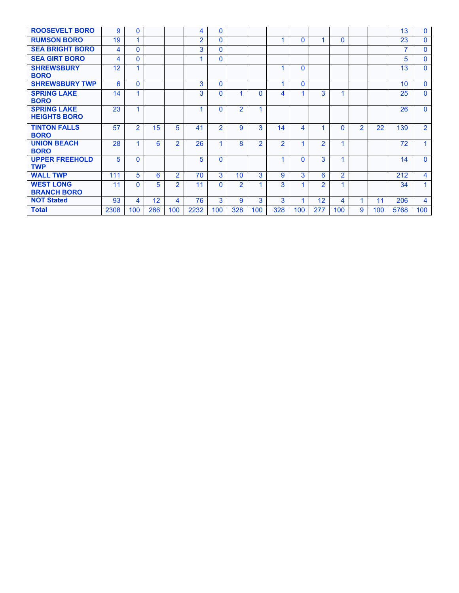| <b>ROOSEVELT BORO</b>                     | 9    | $\mathbf{0}$   |     |                          | 4              | $\mathbf{0}$   |                |               |               |              |                |                |                |     | 13              | $\mathbf{0}$   |
|-------------------------------------------|------|----------------|-----|--------------------------|----------------|----------------|----------------|---------------|---------------|--------------|----------------|----------------|----------------|-----|-----------------|----------------|
| <b>RUMSON BORO</b>                        | 19   |                |     |                          | $\overline{2}$ | $\Omega$       |                |               |               | $\Omega$     |                | $\Omega$       |                |     | 23              | $\mathbf{0}$   |
| <b>SEA BRIGHT BORO</b>                    | 4    | $\mathbf{0}$   |     |                          | 3              | $\Omega$       |                |               |               |              |                |                |                |     | $\overline{7}$  | $\mathbf{0}$   |
| <b>SEA GIRT BORO</b>                      | 4    | $\mathbf{0}$   |     |                          |                | $\Omega$       |                |               |               |              |                |                |                |     | 5               | $\mathbf{0}$   |
| <b>SHREWSBURY</b><br><b>BORO</b>          | 12   | 1              |     |                          |                |                |                |               |               | 0            |                |                |                |     | 13              | $\Omega$       |
| <b>SHREWSBURY TWP</b>                     | 6    | $\Omega$       |     |                          | 3              | $\Omega$       |                |               |               | $\Omega$     |                |                |                |     | 10 <sup>1</sup> | $\Omega$       |
| <b>SPRING LAKE</b><br><b>BORO</b>         | 14   | 1              |     |                          | 3              | $\Omega$       |                | <sup>0</sup>  | 4             |              | 3              | 1              |                |     | 25              | $\mathbf{0}$   |
| <b>SPRING LAKE</b><br><b>HEIGHTS BORO</b> | 23   | 1              |     |                          |                | $\Omega$       | $\mathfrak{p}$ |               |               |              |                |                |                |     | 26              | $\Omega$       |
| <b>TINTON FALLS</b><br><b>BORO</b>        | 57   | $\overline{2}$ | 15  | 5.                       | 41             | $\overline{2}$ | 9              | 3             | 14            | 4            |                | $\Omega$       | $\overline{2}$ | 22  | 139             | $\overline{2}$ |
| <b>UNION BEACH</b><br><b>BORO</b>         | 28   |                | 6   | $\mathcal{P}$            | 26             |                | 8              | $\mathcal{P}$ | $\mathcal{P}$ |              | $\mathcal{P}$  | 1              |                |     | 72              | 1              |
| <b>UPPER FREEHOLD</b><br><b>TWP</b>       | 5    | $\Omega$       |     |                          | 5              | $\Omega$       |                |               |               | <sup>0</sup> | 3              | 1              |                |     | 14              | $\Omega$       |
| <b>WALL TWP</b>                           | 111  | 5              | 6   | $\overline{2}$           | 70             | 3              | 10             | 3             | 9             | 3            | 6              | $\overline{2}$ |                |     | 212             | 4              |
| <b>WEST LONG</b><br><b>BRANCH BORO</b>    | 11   | $\Omega$       | 5   | $\mathfrak{p}$           | 11             | $\Omega$       | $\mathcal{P}$  |               | 3             |              | $\overline{2}$ | 1              |                |     | 34              | 1              |
| <b>NOT Stated</b>                         | 93   | 4              | 12  | $\overline{\mathcal{A}}$ | 76             | 3              | 9              | 3             | 3             |              | 12             | 4              | 1              | 11  | 206             | 4              |
| <b>Total</b>                              | 2308 | 100            | 286 | 100                      | 2232           | 100            | 328            | 100           | 328           | 100          | 277            | 100            | 9              | 100 | 5768            | 100            |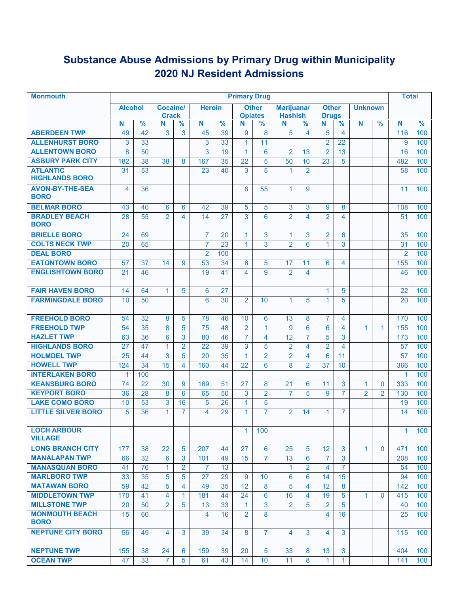# **Substance Abuse Admissions by Primary Drug within Municipality 2020 NJ Resident Admissions**

| <b>Monmouth</b>                       | <b>Primary Drug</b>      |               |                   |                         |                 |               |                     |                 |                      |                | <b>Total</b>      |                         |                |                |                |               |
|---------------------------------------|--------------------------|---------------|-------------------|-------------------------|-----------------|---------------|---------------------|-----------------|----------------------|----------------|-------------------|-------------------------|----------------|----------------|----------------|---------------|
|                                       | <b>Alcohol</b>           |               | Cocaine/          |                         | <b>Heroin</b>   |               |                     | <b>Other</b>    | Marijuana/           |                | <b>Other</b>      |                         | <b>Unknown</b> |                |                |               |
|                                       | N                        | $\frac{9}{6}$ | <b>Crack</b><br>N | $\%$                    | N               | $\frac{9}{6}$ | <b>Opiates</b><br>N | $\frac{9}{6}$   | <b>Hashish</b><br>N  | $\frac{9}{6}$  | <b>Drugs</b><br>N | $\frac{9}{6}$           | N              | %              | N              | $\frac{9}{6}$ |
| <b>ABERDEEN TWP</b>                   | 49                       | 42            | 3                 | 3                       | 45              | 39            | 9                   | 8               | 5                    | 4              | 5                 | 4                       |                |                | 116            | 100           |
| <b>ALLENHURST BORO</b>                | 3                        | 33            |                   |                         | 3               | 33            | $\mathbf{1}$        | 11              |                      |                | $\overline{2}$    | 22                      |                |                | 9              | 100           |
| <b>ALLENTOWN BORO</b>                 | 8                        | 50            |                   |                         | 3               | 19            | $\mathbf{1}$        | 6               | $\overline{2}$       | 13             | $\overline{2}$    | 13                      |                |                | 16             | 100           |
| <b>ASBURY PARK CITY</b>               | 182                      | 38            | 38                | 8                       | 167             | 35            | 22                  | 5               | 50                   | 10             | 23                | 5                       |                |                | 482            | 100           |
| <b>ATLANTIC</b>                       | 31                       | 53            |                   |                         | 23              | 40            | 3                   | 5               | $\blacktriangleleft$ | $\overline{2}$ |                   |                         |                |                | 58             | 100           |
| <b>HIGHLANDS BORO</b>                 |                          |               |                   |                         |                 |               |                     |                 |                      |                |                   |                         |                |                |                |               |
| <b>AVON-BY-THE-SEA</b><br><b>BORO</b> | $\overline{\mathcal{A}}$ | 36            |                   |                         |                 |               | 6                   | 55              | $\mathbf{1}$         | 9              |                   |                         |                |                | 11             | 100           |
| <b>BELMAR BORO</b>                    | 43                       | 40            | 6                 | 6                       | 42              | 39            | 5                   | 5               | 3                    | 3              | 9                 | 8                       |                |                | 108            | 100           |
| <b>BRADLEY BEACH</b><br><b>BORO</b>   | 28                       | 55            | $\overline{2}$    | $\overline{\mathbf{4}}$ | 14              | 27            | 3                   | 6               | $\overline{2}$       | 4              | $\overline{2}$    | $\overline{\mathbf{4}}$ |                |                | 51             | 100           |
| <b>BRIELLE BORO</b>                   | 24                       | 69            |                   |                         | 7               | 20            | $\mathbf{1}$        | 3               | $\mathbf{1}$         | 3              | $\overline{2}$    | 6                       |                |                | 35             | 100           |
| <b>COLTS NECK TWP</b>                 | 20                       | 65            |                   |                         | $\overline{7}$  | 23            | $\mathbf{1}$        | 3               | $\overline{2}$       | 6              | 1                 | 3                       |                |                | 31             | 100           |
| <b>DEAL BORO</b>                      |                          |               |                   |                         | $\overline{2}$  | 100           |                     |                 |                      |                |                   |                         |                |                | $\overline{2}$ | 100           |
| <b>EATONTOWN BORO</b>                 | 57                       | 37            | 14                | 9                       | 53              | 34            | 8                   | 5               | 17                   | 11             | 6                 | 4                       |                |                | 155            | 100           |
| <b>ENGLISHTOWN BORO</b>               | 21                       | 46            |                   |                         | 19              | 41            | 4                   | 9               | $\overline{2}$       | 4              |                   |                         |                |                | 46             | 100           |
| <b>FAIR HAVEN BORO</b>                | 14                       | 64            | $\mathbf{1}$      | 5                       | 6               | 27            |                     |                 |                      |                | 1                 | 5                       |                |                | 22             | 100           |
| <b>FARMINGDALE BORO</b>               | 10                       | 50            |                   |                         | 6               | 30            | $\overline{2}$      | 10              | $\mathbf{1}$         | 5              | 1                 | 5                       |                |                | 20             | 100           |
| <b>FREEHOLD BORO</b>                  | 54                       | 32            | 8                 | 5                       | 78              | 46            | 10                  | 6               | 13                   | 8              | $\overline{7}$    | $\overline{\mathbf{4}}$ |                |                | 170            | 100           |
| <b>FREEHOLD TWP</b>                   | 54                       | 35            | 8                 | 5                       | 75              | 48            | $\overline{2}$      | $\mathbf{1}$    | 9                    | 6              | 6                 | $\overline{4}$          | $\mathbf{1}$   | $\mathbf{1}$   | 155            | 100           |
| <b>HAZLET TWP</b>                     | 63                       | 36            | 6                 | 3                       | 80              | 46            | $\overline{7}$      | 4               | 12                   | $\overline{7}$ | 5                 | 3                       |                |                | 173            | 100           |
| <b>HIGHLANDS BORO</b>                 | 27                       | 47            | $\mathbf{1}$      | $\overline{2}$          | $\overline{22}$ | 39            | 3                   | 5               | $\overline{2}$       | 4              | $\overline{2}$    | $\overline{\mathbf{4}}$ |                |                | 57             | 100           |
| <b>HOLMDEL TWP</b>                    | 25                       | 44            | 3                 | 5                       | $\overline{20}$ | 35            | $\mathbf{1}$        | $\overline{2}$  | $\overline{2}$       | 4              | 6                 | 11                      |                |                | 57             | 100           |
| <b>HOWELL TWP</b>                     | 124                      | 34            | 15                | 4                       | 160             | 44            | 22                  | 6               | 8                    | $\overline{2}$ | 37                | 10                      |                |                | 366            | 100           |
| <b>INTERLAKEN BORO</b>                | $\mathbf 1$              | 100           |                   |                         |                 |               |                     |                 |                      |                |                   |                         |                |                | 1              | 100           |
| <b>KEANSBURG BORO</b>                 | 74                       | 22            | 30                | 9                       | 169             | 51            | 27                  | 8               | 21                   | 6              | 11                | 3                       | 1              | $\mathbf{0}$   | 333            | 100           |
| <b>KEYPORT BORO</b>                   | 36                       | 28            | 8                 | 6                       | 65              | 50            | 3                   | $\overline{2}$  | $\overline{7}$       | 5              | 9                 | $\overline{7}$          | $\overline{2}$ | $\overline{2}$ | 130            | 100           |
| <b>LAKE COMO BORO</b>                 | 10 <sup>1</sup>          | 53            | 3                 | 16                      | 5               | 26            | 1                   | 5               |                      |                |                   |                         |                |                | 19             | 100           |
| <b>LITTLE SILVER BORO</b>             | 5                        | 36            | $\mathbf{1}$      | $\overline{7}$          | 4               | 29            | $\mathbf{1}$        | $\overline{7}$  | $\overline{2}$       | 14             | 1                 | $\overline{7}$          |                |                | 14             | 100           |
| <b>LOCH ARBOUR</b><br><b>VILLAGE</b>  |                          |               |                   |                         |                 |               | 1.                  | 100             |                      |                |                   |                         |                |                | 1              | 100           |
| <b>LONG BRANCH CITY</b>               | 177                      | 38            | 22                | 5                       | 207             | 44            | 27                  | 6               | 25                   | 5              | 12                | 3                       | $\mathbf{1}$   | $\mathbf{0}$   | 471            | 100           |
| <b>MANALAPAN TWP</b>                  | 66                       | 32            | 6                 | 3                       | 101             | 49            | 15                  | $\overline{7}$  | 13                   | 6              | $\overline{7}$    | 3                       |                |                | 208            | 100           |
| <b>MANASQUAN BORO</b>                 | 41                       | 76            | $\mathbf{1}$      | $\overline{2}$          | 7               | 13            |                     |                 | $\mathbf{1}$         | $\overline{2}$ | 4                 | $\overline{7}$          |                |                | 54             | 100           |
| <b>MARLBORO TWP</b>                   | 33                       | 35            | 5                 | 5                       | 27              | 29            | 9                   | 10              | 6                    | 6              | 14                | 15                      |                |                | 94             | 100           |
| <b>MATAWAN BORO</b>                   | 59                       | 42            | 5                 | 4                       | 49              | 35            | 12                  | 8               | 5                    | 4              | 12                | 8                       |                |                | 142            | 100           |
| <b>MIDDLETOWN TWP</b>                 | 170                      | 41            | 4                 | 1                       | 181             | 44            | 24                  | 6               | 16                   | 4              | 19                | $\overline{5}$          | 1              | $\mathbf{0}$   | 415            | 100           |
| <b>MILLSTONE TWP</b>                  | 20                       | 50            | $\overline{2}$    | 5                       | 13              | 33            | $\mathbf{1}$        | $\mathbf{3}$    | $\overline{2}$       | 5              | $\overline{2}$    | 5                       |                |                | 40             | 100           |
| <b>MONMOUTH BEACH</b><br><b>BORO</b>  | 15                       | 60            |                   |                         | 4               | 16            | $\overline{2}$      | 8               |                      |                | 4                 | 16                      |                |                | 25             | 100           |
| <b>NEPTUNE CITY BORO</b>              | 56                       | 49            | 4                 | 3                       | 39              | 34            | 8                   | $\overline{7}$  | 4                    | 3              | 4                 | 3                       |                |                | 115            | 100           |
| <b>NEPTUNE TWP</b>                    | 155                      | 38            | 24                | 6                       | 159             | 39            | 20                  | 5               | 33                   | 8              | 13                | 3                       |                |                | 404            | 100           |
| <b>OCEAN TWP</b>                      | 47                       | 33            | $\overline{7}$    | 5                       | 61              | 43            | 14                  | 10 <sup>°</sup> | 11                   | 8              | $\mathbf{1}$      | $\mathbf{1}$            |                |                | 141            | 100           |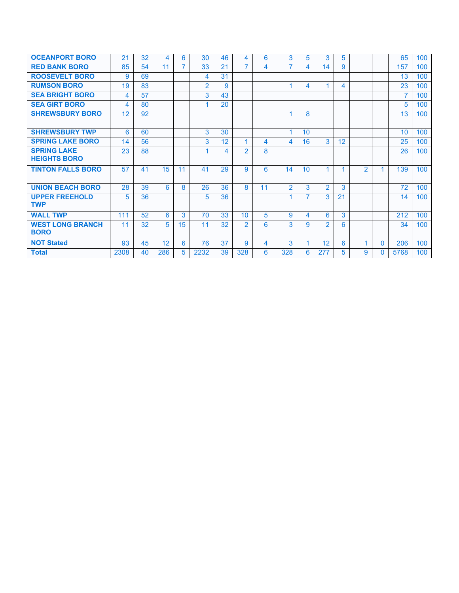| <b>OCEANPORT BORO</b>                     | 21   | 32 | 4   | 6  | 30             | 46 | 4              | 6  | 3              | 5               | 3              | 5  |                |          | 65   | 100 |
|-------------------------------------------|------|----|-----|----|----------------|----|----------------|----|----------------|-----------------|----------------|----|----------------|----------|------|-----|
| <b>RED BANK BORO</b>                      | 85   | 54 | 11  |    | 33             | 21 | $\overline{7}$ | 4  | $\overline{7}$ | 4               | 14             | 9  |                |          | 157  | 100 |
| <b>ROOSEVELT BORO</b>                     | 9    | 69 |     |    | 4              | 31 |                |    |                |                 |                |    |                |          | 13   | 100 |
| <b>RUMSON BORO</b>                        | 19   | 83 |     |    | $\overline{2}$ | 9  |                |    |                | 4               | 1              | 4  |                |          | 23   | 100 |
| <b>SEA BRIGHT BORO</b>                    | 4    | 57 |     |    | 3              | 43 |                |    |                |                 |                |    |                |          | 7    | 100 |
| <b>SEA GIRT BORO</b>                      | 4    | 80 |     |    | 1              | 20 |                |    |                |                 |                |    |                |          | 5    | 100 |
| <b>SHREWSBURY BORO</b>                    | 12   | 92 |     |    |                |    |                |    |                | 8               |                |    |                |          | 13   | 100 |
|                                           |      |    |     |    |                |    |                |    |                |                 |                |    |                |          |      |     |
| <b>SHREWSBURY TWP</b>                     | 6    | 60 |     |    | 3              | 30 |                |    | 1              | 10 <sup>1</sup> |                |    |                |          | 10   | 100 |
| <b>SPRING LAKE BORO</b>                   | 14   | 56 |     |    | 3              | 12 | 1              | 4  | 4              | 16              | 3              | 12 |                |          | 25   | 100 |
| <b>SPRING LAKE</b><br><b>HEIGHTS BORO</b> | 23   | 88 |     |    |                | 4  | $\mathcal{P}$  | 8  |                |                 |                |    |                |          | 26   | 100 |
| <b>TINTON FALLS BORO</b>                  | 57   | 41 | 15  | 11 | 41             | 29 | 9              | 6  | 14             | 10 <sup>1</sup> | 4              |    | $\mathfrak{p}$ |          | 139  | 100 |
| <b>UNION BEACH BORO</b>                   | 28   | 39 | 6   | 8  | 26             | 36 | 8              | 11 | $\mathcal{P}$  | 3               | $\overline{2}$ | 3  |                |          | 72   | 100 |
| <b>UPPER FREEHOLD</b><br><b>TWP</b>       | 5    | 36 |     |    | 5              | 36 |                |    |                | 7               | 3              | 21 |                |          | 14   | 100 |
| <b>WALL TWP</b>                           | 111  | 52 | 6   | 3  | 70             | 33 | 10             | 5  | 9              | 4               | 6              | 3  |                |          | 212  | 100 |
| <b>WEST LONG BRANCH</b><br><b>BORO</b>    | 11   | 32 | 5.  | 15 | 11             | 32 | $\overline{2}$ | 6  | 3              | 9               | $\mathfrak{p}$ | 6  |                |          | 34   | 100 |
| <b>NOT Stated</b>                         | 93   | 45 | 12  | 6  | 76             | 37 | 9              | 4  | 3              |                 | 12             | 6  | 1              | $\Omega$ | 206  | 100 |
| <b>Total</b>                              | 2308 | 40 | 286 | 5. | 2232           | 39 | 328            | 6  | 328            | 6               | 277            | 5  | 9              | $\Omega$ | 5768 | 100 |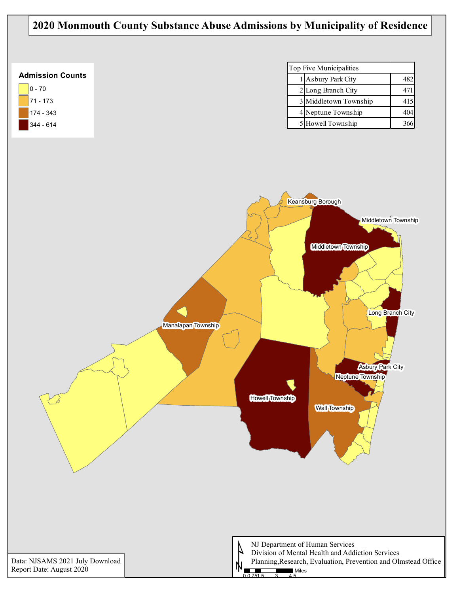## **2020 Monmouth County Substance Abuse Admissions by Municipality of Residence**

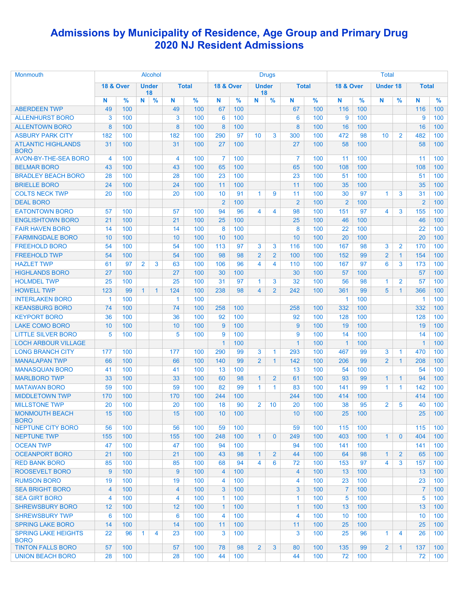## **Admissions by Municipality of Residence, Age Group and Primary Drug 2020 NJ Resident Admissions**

| Monmouth                                  | Alcohol              |               |                |                    |                 |               |                      |               | <b>Drugs</b>            |                |                | <b>Total</b>  |                      |               |                 |                |                |                  |
|-------------------------------------------|----------------------|---------------|----------------|--------------------|-----------------|---------------|----------------------|---------------|-------------------------|----------------|----------------|---------------|----------------------|---------------|-----------------|----------------|----------------|------------------|
|                                           | <b>18 &amp; Over</b> |               |                | <b>Under</b><br>18 |                 | <b>Total</b>  | <b>18 &amp; Over</b> |               | <b>Under</b><br>18      |                | <b>Total</b>   |               | <b>18 &amp; Over</b> |               | <b>Under 18</b> |                | <b>Total</b>   |                  |
|                                           | N                    | $\frac{9}{6}$ | N              | $\frac{9}{6}$      | N               | $\frac{9}{6}$ | N                    | $\frac{9}{6}$ | N                       | $\frac{9}{6}$  | N              | $\frac{9}{6}$ | N                    | $\frac{9}{6}$ | N               | $\frac{9}{6}$  | N              | $\frac{9}{6}$    |
| <b>ABERDEEN TWP</b>                       | 49                   | 100           |                |                    | 49              | 100           | 67                   | 100           |                         |                | 67             | 100           | 116                  | 100           |                 |                | 116            | 100              |
| <b>ALLENHURST BORO</b>                    | 3                    | 100           |                |                    | 3               | 100           | 6                    | 100           |                         |                | 6              | 100           | 9                    | 100           |                 |                | 9              | 100              |
| <b>ALLENTOWN BORO</b>                     | 8                    | 100           |                |                    | 8               | 100           | 8                    | 100           |                         |                | 8              | 100           | 16                   | 100           |                 |                | 16             | 100              |
| <b>ASBURY PARK CITY</b>                   | 182                  | 100           |                |                    | 182             | 100           | 290                  | 97            | 10                      | 3              | 300            | 100           | 472                  | 98            | 10              | $\overline{2}$ | 482            | 100              |
| <b>ATLANTIC HIGHLANDS</b><br><b>BORO</b>  | 31                   | 100           |                |                    | 31              | 100           | 27                   | 100           |                         |                | 27             | 100           | 58                   | 100           |                 |                | 58             | 100              |
| AVON-BY-THE-SEA BORO                      | 4                    | 100           |                |                    | 4               | 100           | $\overline{7}$       | 100           |                         |                | $\overline{7}$ | 100           | 11                   | 100           |                 |                | 11             | 100              |
| <b>BELMAR BORO</b>                        | 43                   | 100           |                |                    | 43              | 100           | 65                   | 100           |                         |                | 65             | 100           | 108                  | 100           |                 |                | 108            | 100              |
| <b>BRADLEY BEACH BORO</b>                 | 28                   | 100           |                |                    | 28              | 100           | 23                   | 100           |                         |                | 23             | 100           | 51                   | 100           |                 |                | 51             | 100              |
| <b>BRIELLE BORO</b>                       | 24                   | 100           |                |                    | 24              | 100           | 11                   | 100           |                         |                | 11             | 100           | 35                   | 100           |                 |                | 35             | 100              |
| <b>COLTS NECK TWP</b>                     | 20                   | 100           |                |                    | 20              | 100           | 10                   | 91            | $\mathbf{1}$            | 9              | 11             | 100           | 30                   | 97            | 1               | 3              | 31             | 100              |
| <b>DEAL BORO</b>                          |                      |               |                |                    |                 |               | $\overline{2}$       | 100           |                         |                | $\overline{2}$ | 100           | $\overline{2}$       | 100           |                 |                | $\overline{2}$ | 100              |
| <b>EATONTOWN BORO</b>                     | 57                   | 100           |                |                    | 57              | 100           | 94                   | 96            | $\overline{4}$          | 4              | 98             | 100           | 151                  | 97            | 4               | 3              | 155            | 100              |
| <b>ENGLISHTOWN BORO</b>                   | 21                   | 100           |                |                    | 21              | 100           | 25                   | 100           |                         |                | 25             | 100           | 46                   | 100           |                 |                | 46             | 100              |
| <b>FAIR HAVEN BORO</b>                    | 14                   | 100           |                |                    | 14              | 100           | 8                    | 100           |                         |                | 8              | 100           | 22                   | 100           |                 |                | 22             | 100              |
| <b>FARMINGDALE BORO</b>                   | 10                   | 100           |                |                    | 10              | 100           | 10                   | 100           |                         |                | 10             | 100           | 20                   | 100           |                 |                | 20             | 100              |
| <b>FREEHOLD BORO</b>                      | 54                   | 100           |                |                    | 54              | 100           | 113                  | 97            | 3                       | 3              | 116            | 100           | 167                  | 98            | 3               | $\overline{2}$ | 170            | 100              |
| <b>FREEHOLD TWP</b>                       | 54                   | 100           |                |                    | 54              | 100           | 98                   | 98            | $\overline{2}$          | $\overline{2}$ | 100            | 100           | 152                  | 99            | $\overline{2}$  | $\mathbf{1}$   | 154            | 100              |
| <b>HAZLET TWP</b>                         | 61                   | 97            | $\overline{2}$ | 3                  | 63              | 100           | 106                  | 96            | $\overline{4}$          | 4              | 110            | 100           | 167                  | 97            | 6               | 3              | 173            | 100              |
| <b>HIGHLANDS BORO</b>                     | 27                   | 100           |                |                    | 27              | 100           | 30                   | 100           |                         |                | 30             | 100           | 57                   | 100           |                 |                | 57             | 100              |
| <b>HOLMDEL TWP</b>                        | 25                   | 100           |                |                    | 25              | 100           | 31                   | 97            | $\mathbf{1}$            | 3              | 32             | 100           | 56                   | 98            | 1               | $\overline{2}$ | 57             | 100              |
| <b>HOWELL TWP</b>                         | 123                  | 99            | $\mathbf{1}$   | $\mathbf{1}$       | 124             | 100           | 238                  | 98            | $\overline{4}$          | $\overline{2}$ | 242            | 100           | 361                  | 99            | 5               | $\mathbf{1}$   | 366            | 100              |
| <b>INTERLAKEN BORO</b>                    | $\overline{1}$       | 100           |                |                    | $\mathbf{1}$    | 100           |                      |               |                         |                |                |               | $\overline{1}$       | 100           |                 |                | $\overline{1}$ | 100              |
| <b>KEANSBURG BORO</b>                     | 74                   | 100           |                |                    | 74              | 100           | 258                  | 100           |                         |                | 258            | 100           | 332                  | 100           |                 |                | 332            | 100              |
| <b>KEYPORT BORO</b>                       | 36                   | 100           |                |                    | 36              | 100           | 92                   | 100           |                         |                | 92             | 100           | 128                  | 100           |                 |                | 128            | 100              |
| <b>LAKE COMO BORO</b>                     | 10                   | 100           |                |                    | 10              | 100           | 9                    | 100           |                         |                | 9              | 100           | 19                   | 100           |                 |                | 19             | 100              |
| <b>LITTLE SILVER BORO</b>                 | 5                    | 100           |                |                    | 5               | 100           | 9                    | 100           |                         |                | 9              | 100           | 14                   | 100           |                 |                | 14             | 100              |
| <b>LOCH ARBOUR VILLAGE</b>                |                      |               |                |                    |                 |               | $\mathbf{1}$         | 100           |                         |                | $\mathbf{1}$   | 100           | $\overline{1}$       | 100           |                 |                | $\overline{1}$ | 100              |
| <b>LONG BRANCH CITY</b>                   | 177                  | 100           |                |                    | 177             | 100           | 290                  | 99            | 3                       | $\mathbf{1}$   | 293            | 100           | 467                  | 99            | 3               | $\mathbf{1}$   | 470            | 100              |
| <b>MANALAPAN TWP</b>                      | 66                   | 100           |                |                    | 66              | 100           | 140                  | 99            | $\overline{2}$          | $\mathbf{1}$   | 142            | 100           | 206                  | 99            | $\overline{2}$  | $\mathbf{1}$   | 208            | 100              |
| <b>MANASQUAN BORO</b>                     | 41                   | 100           |                |                    | 41              | 100           | 13                   | 100           |                         |                | 13             | 100           | 54                   | 100           |                 |                | 54             | 100              |
| <b>MARLBORO TWP</b>                       | 33                   | 100           |                |                    | 33              | 100           | 60                   | 98            | $\mathbf{1}$            | $\overline{2}$ | 61             | 100           | 93                   | 99            | $\mathbf{1}$    | $\mathbf{1}$   | 94             | 100              |
| <b>MATAWAN BORO</b>                       | 59                   | 100           |                |                    | 59              | 100           | 82                   | 99            | $\mathbf{1}$            | $\mathbf{1}$   | 83             | 100           | 141                  | 99            | 1               | $\mathbf{1}$   | 142            | 100              |
| <b>MIDDLETOWN TWP</b>                     | 170                  | 100           |                |                    | 170             | 100           | 244                  | 100           |                         |                | 244            | 100           | 414                  | 100           |                 |                | 414            | 100              |
| <b>MILLSTONE TWP</b>                      | 20                   | 100           |                |                    | 20              | 100           | 18                   | 90            | $\overline{\mathbf{c}}$ | 10             | 20             | 100           | 38                   | 95            | $\overline{2}$  | 5              | 40             | 100              |
| <b>MONMOUTH BEACH</b><br><b>BORO</b>      | 15                   | 100           |                |                    | 15              | 100           | 10                   | 100           |                         |                | 10             | 100           | 25                   | 100           |                 |                | 25             | 100              |
| NEPTUNE CITY BORO                         | 56                   | 100           |                |                    | 56              | 100           | 59                   | 100           |                         |                | 59             | 100           | 115                  | 100           |                 |                | 115            | 100              |
| <b>NEPTUNE TWP</b>                        | 155                  | 100           |                |                    | 155             | 100           | 248                  | 100           | $\mathbf{1}$            | 0              | 249            | 100           | 403                  | 100           | $\mathbf{1}$    | $\Omega$       | 404            | 100              |
| <b>OCEAN TWP</b>                          | 47                   | 100           |                |                    | 47              | 100           | 94                   | 100           |                         |                | 94             | 100           | 141                  | 100           |                 |                | 141            | 100              |
| <b>OCEANPORT BORO</b>                     | 21                   | 100           |                |                    | 21              | 100           | 43                   | 98            | $\mathbf{1}$            | $\overline{2}$ | 44             | 100           | 64                   | 98            | $\mathbf{1}$    | $\overline{2}$ | 65             | 100              |
| <b>RED BANK BORO</b>                      | 85                   | 100           |                |                    | 85              | 100           | 68                   | 94            | 4                       | 6              | 72             | 100           | 153                  | 97            | 4               | 3              | 157            | 100              |
| ROOSEVELT BORO                            | 9                    | 100           |                |                    | 9               | 100           | 4                    | 100           |                         |                | 4              | 100           | 13                   | 100           |                 |                | 13             | 100              |
| <b>RUMSON BORO</b>                        | 19                   | 100           |                |                    | 19              | 100           | 4                    | 100           |                         |                | 4              | 100           | 23                   | 100           |                 |                | 23             | 100              |
| <b>SEA BRIGHT BORO</b>                    | 4                    | 100           |                |                    | 4               | 100           | 3                    | 100           |                         |                | 3              | 100           | $\overline{7}$       | 100           |                 |                | $\overline{7}$ | 100              |
| <b>SEA GIRT BORO</b>                      | 4                    | 100           |                |                    | 4               | 100           | $\mathbf{1}$         | 100           |                         |                | $\mathbf{1}$   | 100           | 5                    | 100           |                 |                | 5              | 100              |
| <b>SHREWSBURY BORO</b>                    | 12                   | 100           |                |                    | 12              | 100           | $\mathbf{1}$         | 100           |                         |                | $\mathbf{1}$   | 100           | 13                   | 100           |                 |                | 13             | 100              |
| <b>SHREWSBURY TWP</b>                     | 6                    | 100           |                |                    | $6\phantom{1}6$ | 100           | 4                    | 100           |                         |                | 4              | 100           | 10                   | 100           |                 |                | 10             | 100              |
| <b>SPRING LAKE BORO</b>                   | 14                   | 100           |                |                    | 14              | 100           | 11                   | 100           |                         |                | 11             | 100           | 25                   | 100           |                 |                | 25             | 100              |
| <b>SPRING LAKE HEIGHTS</b><br><b>BORO</b> | 22                   | 96            | $\mathbf{1}$   | 4                  | 23              | 100           | 3                    | 100           |                         |                | 3              | 100           | 25                   | 96            | $\mathbf{1}$    | 4              | 26             | 100              |
| <b>TINTON FALLS BORO</b>                  | 57                   | 100           |                |                    | 57              | 100           | 78                   | 98            | $\overline{2}$          | 3              | 80             | 100           | 135                  | 99            | $\overline{2}$  | $\mathbf{1}$   | 137            | 100 <sub>1</sub> |
| <b>UNION BEACH BORO</b>                   | 28                   | 100           |                |                    | 28              | 100           | 44                   | 100           |                         |                | 44             | 100           | 72                   | 100           |                 |                | 72             | 100              |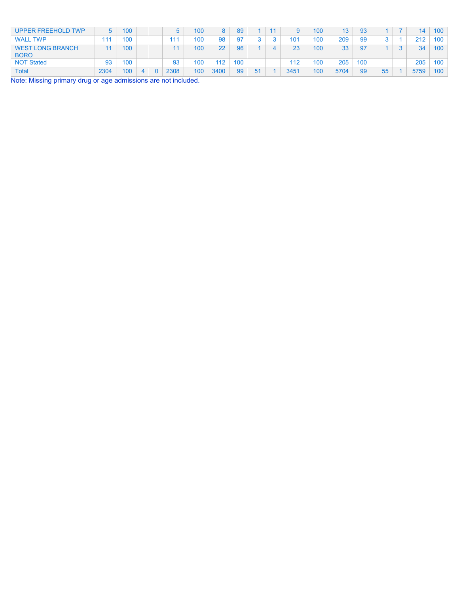| UPPER FREEHOLD TWP                     | 5.   | 100 |  |      | 100 | 8    | 89        |    |      | 100 | 13   | 93  |    | 14   | 100              |
|----------------------------------------|------|-----|--|------|-----|------|-----------|----|------|-----|------|-----|----|------|------------------|
| <b>WALL TWP</b>                        | 111  | 100 |  | 111  | 100 | 98   | <b>Q7</b> |    | 101  | 100 | 209  | 99  |    | 212  | 100              |
| <b>WEST LONG BRANCH</b><br><b>BORO</b> |      | 100 |  |      | 100 | 22   | 96        |    | 23   | 100 | 33   | 97  |    | 34   | 100 <sub>1</sub> |
| <b>NOT Stated</b>                      | 93   | 100 |  | 93   | 100 | 112  | 100       |    | 112  | 100 | 205  | 100 |    | 205  | 100              |
| Total                                  | 2304 | 100 |  | 2308 | 100 | 3400 | 99        | 51 | 3451 | 100 | 5704 | 99  | 55 | 5759 | 100              |

Note: Missing primary drug or age admissions are not included.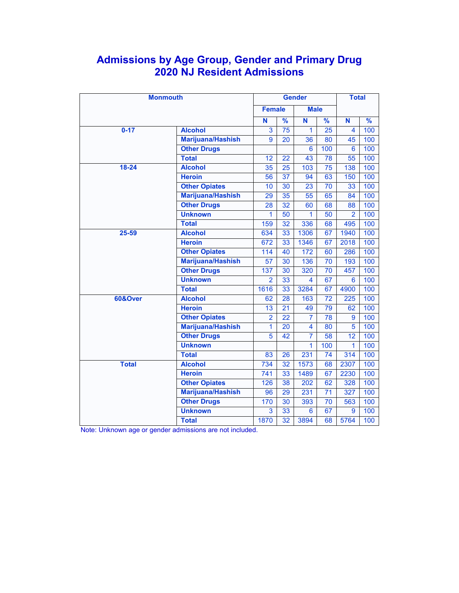## **Admissions by Age Group, Gender and Primary Drug 2020 NJ Resident Admissions**

| <b>Monmouth</b>    |                          |                 | <b>Total</b>    |                |                 |                 |               |
|--------------------|--------------------------|-----------------|-----------------|----------------|-----------------|-----------------|---------------|
|                    |                          | <b>Female</b>   |                 | <b>Male</b>    |                 |                 |               |
|                    |                          | N               | %               | Ñ              | $\frac{9}{6}$   | N               | $\frac{9}{6}$ |
| $0 - 17$           | <b>Alcohol</b>           | $\overline{3}$  | 75              | $\mathbf{1}$   | 25              | $\overline{4}$  | 100           |
|                    | <b>Marijuana/Hashish</b> | $\overline{9}$  | 20              | 36             | 80              | 45              | 100           |
|                    | <b>Other Drugs</b>       |                 |                 | 6              | 100             | 6               | 100           |
|                    | <b>Total</b>             | 12              | $\overline{22}$ | 43             | 78              | 55              | 100           |
| $18 - 24$          | <b>Alcohol</b>           | 35              | $\overline{25}$ | 103            | $\overline{75}$ | 138             | 100           |
|                    | <b>Heroin</b>            | 56              | 37              | 94             | 63              | 150             | 100           |
|                    | <b>Other Opiates</b>     | 10              | 30              | 23             | 70              | 33              | 100           |
|                    | Marijuana/Hashish        | 29              | 35              | 55             | 65              | 84              | 100           |
|                    | <b>Other Drugs</b>       | 28              | 32              | 60             | 68              | 88              | 100           |
|                    | <b>Unknown</b>           | $\mathbf{1}$    | 50              | $\mathbf{1}$   | 50              | $\overline{2}$  | 100           |
|                    | <b>Total</b>             | 159             | 32              | 336            | 68              | 495             | 100           |
| 25-59              | <b>Alcohol</b>           | 634             | 33              | 1306           | 67              | 1940            | 100           |
|                    | <b>Heroin</b>            | 672             | 33              | 1346           | 67              | 2018            | 100           |
|                    | <b>Other Opiates</b>     | 114             | 40              | 172            | 60              | 286             | 100           |
|                    | Marijuana/Hashish        | $\overline{57}$ | 30              | 136            | $\overline{70}$ | 193             | 100           |
|                    | <b>Other Drugs</b>       | 137             | 30              | 320            | 70              | 457             | 100           |
|                    | <b>Unknown</b>           | $\overline{2}$  | 33              | 4              | 67              | 6               | 100           |
|                    | <b>Total</b>             | 1616            | 33              | 3284           | 67              | 4900            | 100           |
| <b>60&amp;Over</b> | <b>Alcohol</b>           | 62              | 28              | 163            | 72              | 225             | 100           |
|                    | <b>Heroin</b>            | 13              | $\overline{21}$ | 49             | 79              | 62              | 100           |
|                    | <b>Other Opiates</b>     | $\overline{2}$  | $\overline{22}$ | $\overline{7}$ | 78              | $\overline{9}$  | 100           |
|                    | Marijuana/Hashish        | $\overline{1}$  | 20              | 4              | 80              | 5               | 100           |
|                    | <b>Other Drugs</b>       | 5               | 42              | $\overline{7}$ | 58              | $\overline{12}$ | 100           |
|                    | <b>Unknown</b>           |                 |                 | $\overline{1}$ | 100             | 1               | 100           |
|                    | <b>Total</b>             | 83              | 26              | 231            | 74              | 314             | 100           |
| <b>Total</b>       | <b>Alcohol</b>           | 734             | 32              | 1573           | 68              | 2307            | 100           |
|                    | <b>Heroin</b>            | 741             | 33              | 1489           | 67              | 2230            | 100           |
|                    | <b>Other Opiates</b>     | 126             | 38              | 202            | 62              | 328             | 100           |
|                    | <b>Marijuana/Hashish</b> | 96              | 29              | 231            | $\overline{71}$ | 327             | 100           |
|                    | <b>Other Drugs</b>       | 170<br>3        | 30<br>33        | 393<br>6       | $\overline{70}$ | 563             | 100           |
|                    | <b>Unknown</b>           |                 |                 |                | 67              | 9               | 100           |
|                    | <b>Total</b>             | 1870            | 32              | 3894           | 68              | 5764            | 100           |

Note: Unknown age or gender admissions are not included.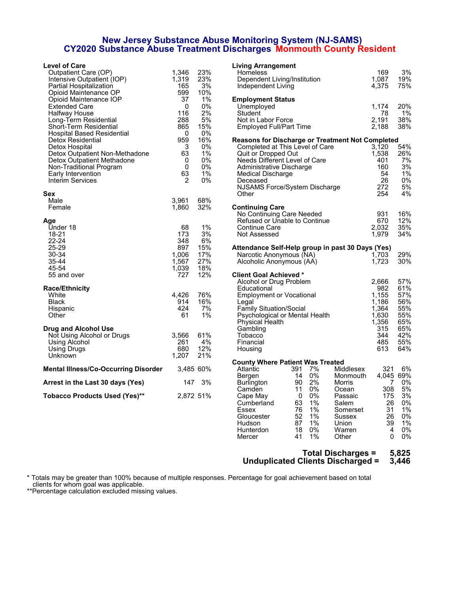#### **New Jersey Substance Abuse Monitoring System (NJ-SAMS) CY2020 Substance Abuse Treatment Discharges Monmouth County Resident**

| <b>Level of Care</b>                                         |              |           | <b>Living Arrangement</b>                               |              |     |
|--------------------------------------------------------------|--------------|-----------|---------------------------------------------------------|--------------|-----|
| Outpatient Care (OP)                                         | 1,346        | 23%       | Homeless                                                | 169          | 3%  |
| Intensive Outpatient (IOP)                                   | 1,319        | 23%       | Dependent Living/Institution                            | 1.087        | 19% |
| Partial Hospitalization                                      | 165          | 3%        | Independent Living                                      | 4,375        | 75% |
| Opioid Maintenance OP                                        | 599          | 10%       |                                                         |              |     |
| Opioid Maintenance IOP                                       | 37           | 1%        | <b>Employment Status</b>                                |              |     |
| Extended Care                                                | 0            | 0%        | Unemployed                                              | 1,174        | 20% |
| Halfway House                                                | 116          | 2%        | Student                                                 | 78           | 1%  |
| Long-Term Residential                                        | 288          | 5%        | Not in Labor Force                                      | 2,191        | 38% |
| Short-Term Residential                                       | 865          | 15%       | Employed Full/Part Time                                 | 2,188        | 38% |
| Hospital Based Residential                                   | $\mathbf 0$  | $0\%$     |                                                         |              |     |
| Detox Residential                                            | 959          | 16%       | <b>Reasons for Discharge or Treatment Not Completed</b> |              |     |
| Detox Hospital                                               | 3            | 0%        | Completed at This Level of Care                         | 3.120        | 54% |
|                                                              | 63           | 1%        |                                                         | 1,538        | 26% |
| Detox Outpatient Non-Methadone<br>Detox Outpatient Methadone | $\mathbf{0}$ | 0%        | Quit or Dropped Out<br>Needs Different Level of Care    | 401          | 7%  |
|                                                              |              |           |                                                         |              |     |
| Non-Traditional Program                                      | $\mathbf 0$  | 0%        | Administrative Discharge                                | 160          | 3%  |
| Early Intervention                                           | 63           | 1%        | Medical Discharge                                       | 54           | 1%  |
| Interim Services                                             | 2            | 0%        | Deceased                                                | 26           | 0%  |
|                                                              |              |           | NJSAMS Force/System Discharge                           | 272          | 5%  |
| Sex                                                          |              |           | Other                                                   | 254          | 4%  |
| Male                                                         | 3,961        | 68%       |                                                         |              |     |
| Female                                                       | 1.860        | 32%       | <b>Continuing Care</b>                                  |              |     |
|                                                              |              |           | No Continuing Care Needed                               | 931          | 16% |
| Age                                                          |              |           | Refused or Unable to Continue                           | 670          | 12% |
| Under 18                                                     | 68           | 1%        | <b>Continue Care</b>                                    | 2.032        | 35% |
| 18-21                                                        | 173          | 3%        | Not Assessed                                            | 1,979        | 34% |
| $22 - 24$                                                    | 348          | 6%        |                                                         |              |     |
| 25-29                                                        | 897          | 15%       | Attendance Self-Help group in past 30 Days (Yes)        |              |     |
| 30-34                                                        | 1.006        | 17%       | Narcotic Anonymous (NA)                                 | 1.703        | 29% |
| 35-44                                                        | 1,567        | 27%       | Alcoholic Anonymous (AA)                                | 1,723        | 30% |
| 45-54                                                        | 1,039        | 18%       |                                                         |              |     |
| 55 and over                                                  | 727          | 12%       | <b>Client Goal Achieved *</b>                           |              |     |
|                                                              |              |           | Alcohol or Drug Problem                                 | 2,666        | 57% |
| <b>Race/Ethnicity</b>                                        |              |           | Educational                                             | 982          | 61% |
| White                                                        | 4,426        | 76%       | <b>Employment or Vocational</b>                         | 1,155        | 57% |
| <b>Black</b>                                                 | 914          | 16%       | Legal                                                   | 1,186        | 56% |
| Hispanic                                                     | 424          | 7%        | Family Situation/Social                                 | 1,364        | 55% |
| Other                                                        | 61           | 1%        | Psychological or Mental Health                          | 1,630        | 55% |
|                                                              |              |           | Physical Health                                         | 1.356        | 65% |
| Drug and Alcohol Use                                         |              |           | Gambling                                                | 315          | 65% |
| Not Using Alcohol or Drugs                                   | 3,566        | 61%       | Tobacco                                                 | 344          | 42% |
| Using Alcohol                                                | 261          | 4%        | Financial                                               | 485          | 55% |
|                                                              | 680          | 12%       |                                                         | 613          | 64% |
| Using Drugs                                                  |              | 21%       | Housing                                                 |              |     |
| Unknown                                                      | 1,207        |           |                                                         |              |     |
|                                                              |              |           | <b>County Where Patient Was Treated</b>                 |              |     |
| <b>Mental Illness/Co-Occurring Disorder</b>                  |              | 3,485 60% | 7%<br>Middlesex<br>391<br>Atlantic                      | 321          | 6%  |
|                                                              |              |           | 14 0%<br>Bergen<br>Monmouth                             | 4,045 69%    |     |
| Arrest in the Last 30 days (Yes)                             | 147          | 3%        | 90<br>2%<br>Burlington<br>Morris                        | 7            | 0%  |
|                                                              |              |           | 0%<br>11<br>Camden<br>Ocean                             | 308          | 5%  |
| <b>Tobacco Products Used (Yes)**</b>                         | 2,872 51%    |           | 0%<br>Cape May<br>$\overline{\phantom{0}}$<br>Passaic   | 175          | 3%  |
|                                                              |              |           | 1%<br>Cumberland<br>63<br>Salem                         | 26           | 0%  |
|                                                              |              |           | 1%<br><b>Essex</b><br>76<br>Somerset                    | 31           | 1%  |
|                                                              |              |           | $1\%$<br>52<br>Gloucester<br>Sussex                     | 26           | 0%  |
|                                                              |              |           | 87<br>1%<br><b>Hudson</b><br>Union                      | 39           | 1%  |
|                                                              |              |           | 18<br>0%<br>Warren<br>Hunterdon                         | 4            | 0%  |
|                                                              |              |           | 41<br>1%<br>Mercer<br>Other                             | $\mathbf{0}$ | 0%  |

#### **Total Discharges = 5,825 Unduplicated Clients Discharged = 3,446**

\* Totals may be greater than 100% because of multiple responses. Percentage for goal achievement based on total clients for whom goal was applicable.

\*\*Percentage calculation excluded missing values.